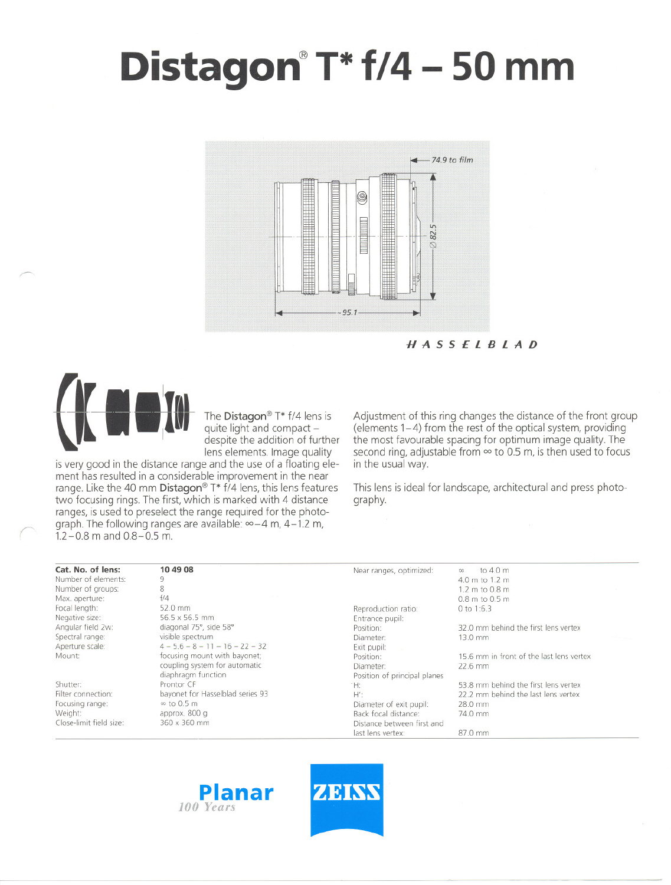# **Distagon@T\* 1/4 - 50 mm**



HASSElBlAD



,~

The Distagon® T\* 1/4 lend<br>all and compact - despite the addition of function of the addition of the state of the state of the state of the state of the state of the state of the state of the state of the state of the state despite the addition of further<br>lens elements. Image quality

is very good in the distance range and the use of a floating element has resulted in a considerable improvement in the near range. Like the 40 mm Distagon® T\*  $f/4$  lens, this lens features two focusing rings. The first, which is marked with 4 distance ranges, is used to preselect the range required for the photograph. The following ranges are available:  $\infty - 4$  m, 4-1.2 m,  $1.2 - 0.8$  m and  $0.8 - 0.5$  m.

Adjustment of this ring changes the distance of the front group  $(elements 1-4)$  from the rest of the optical system, providing the most favourable spacing tor optimum image quality. The second ring, adjustable from  $\infty$  to 0.5 m, is then used to focus in the usual way.

This lens is ideal for landscape, architectural and press photography.

| Cat. No. of lens:       | 10 49 08                          | Near ranges, optimized:      | to 4.0 m<br>$\infty$                     |
|-------------------------|-----------------------------------|------------------------------|------------------------------------------|
| Number of elements:     | 9                                 |                              | 4.0 m to 1.2 m                           |
| Number of groups:       | 8                                 |                              | 1.2 m to 0.8 m                           |
| Max. aperture:          | f/4                               |                              | 0.8 m to 0.5 m                           |
| Focal length:           | 52.0 mm                           | Reproduction ratio:          | 0 to 1:6.3                               |
| Negative size:          | 56.5 x 56.5 mm                    | Entrance pupil:              |                                          |
| Angular field 2w:       | diagonal 75°, side 58°            | Position:                    | 32.0 mm behind the first lens vertex     |
| Spectral range:         | visible spectrum                  | Diameter:                    | 13.0 mm                                  |
| Aperture scale:         | $4 - 5.6 - 8 - 11 - 16 - 22 - 32$ | Exit pupil:                  |                                          |
| Mount:                  | focusing mount with bayonet;      | Position:                    | 15.6 mm in front of the last lens vertex |
|                         | coupling system for automatic     | Diameter:                    | 22.6 mm                                  |
|                         | diaphragm function                | Position of principal planes |                                          |
| Shutter:                | Prontor CF                        | tH:                          | 53.8 mm behind the first lens vertex     |
| Filter connection:      | bayonet for Hasselblad series 93  | $H^{\prime}$                 | 22.2 mm behind the last lens vertex      |
| Focusing range:         | $\infty$ to 0.5 m                 | Diameter of exit pupil:      | 28.0 mm                                  |
| Weight:                 | approx. 800 g                     | Back focal distance:         | 74.0 mm                                  |
| Close-limit field size: | 360 x 360 mm                      | Distance between first and   |                                          |
|                         |                                   | last lens vertex:            | 87.0 mm                                  |